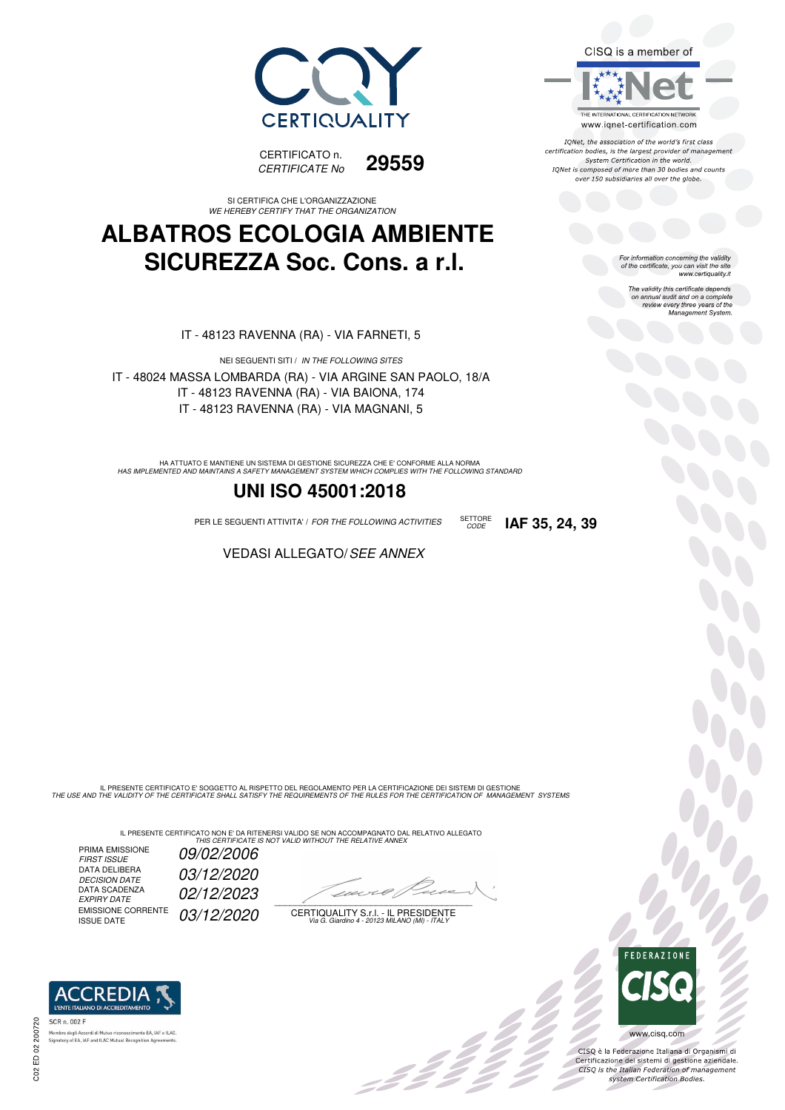



SI CERTIFICA CHE L'ORGANIZZAZIONE *WE HEREBY CERTIFY THAT THE ORGANIZATION*

#### **ALBATROS ECOLOGIA AMBIENTE SICUREZZA Soc. Cons. a r.l.**

IT - 48123 RAVENNA (RA) - VIA FARNETI, 5

NEI SEGUENTI SITI / *IN THE FOLLOWING SITES* IT - 48024 MASSA LOMBARDA (RA) - VIA ARGINE SAN PAOLO, 18/A IT - 48123 RAVENNA (RA) - VIA BAIONA, 174 IT - 48123 RAVENNA (RA) - VIA MAGNANI, 5

HA ATTUATO E MANTIENE UN SISTEMA DI GESTIONE SICUREZZA CHE E' CONFORME ALLA NORMA<br>HAS IMPLEMENTED AND MAINTAINS A SAFETY MANAGEMENT SYSTEM WHICH COMPLIES WITH THE FOLLOWING STANDARD

#### **UNI ISO 45001:2018**

PER LE SEGUENTI ATTIVITA' / *FOR THE FOLLOWING ACTIVITIES* SETTORE

VEDASI ALLEGATO/*SEE ANNEX*

IL PRESENTE CERTIFICATO E' SOGGETTO AL RISPETTO DEL REGOLAMENTO PER LA CERTIFICAZIONE DEI SISTEMI DI GESTIONE<br>THE USE AND THE VALIDITY OF THE CERTIFICATE SHALL SATISFY THE REQUIREMENTS OF THE RULES FOR THE CERTIFICATION OF

IL PRESENTE CERTIFICATO NON E' DA RITENERSI VALIDO SE NON ACCOMPAGNATO DAL RELATIVO ALLEGATO<br>*THIS CERTIFICATE IS NOT VALID WITHOUT THE RELATIVE ANNEX* 

PRIMA EMISSIONE<br>FIRST ISSUE DATA DELIBERA DECISION DATE<br>DATA SCADENZA<br>EXPIRY DATE EMISSIONE CORRENTE<br>ISSUE DATE

*FIRST ISSUE 09/02/2006 DECISION DATE 03/12/2020 EXPIRY DATE 02/12/2023* 03/12/2020

 $\overline{\phantom{a}}$ 

:42 p

CERTIQUALITY S.r.l. - IL PRESIDENTE *Via G. Giardino 4 - 20123 MILANO (MI) - ITALY*



CISQ is a member of

IONet, the association of the world's first class certification bodies, is the largest provider of management System Certification in the world. IQNet is composed of more than 30 bodies and counts over 150 subsidiaries all over the globe.

*CODE* **IAF 35, 24, 39**

For information concerning the validity<br>of the certificate, you can visit the site<br>www.certiquality.it

The validity this certificate depends on annual audit and on a complete review every three years of the Management System



bo<br>Op

CISQ è la Federazione Italiana di Organismi di Certificazione dei sistemi di gestione aziendale.<br>CISQ is the Italian Federation of management system Certification Bodies.

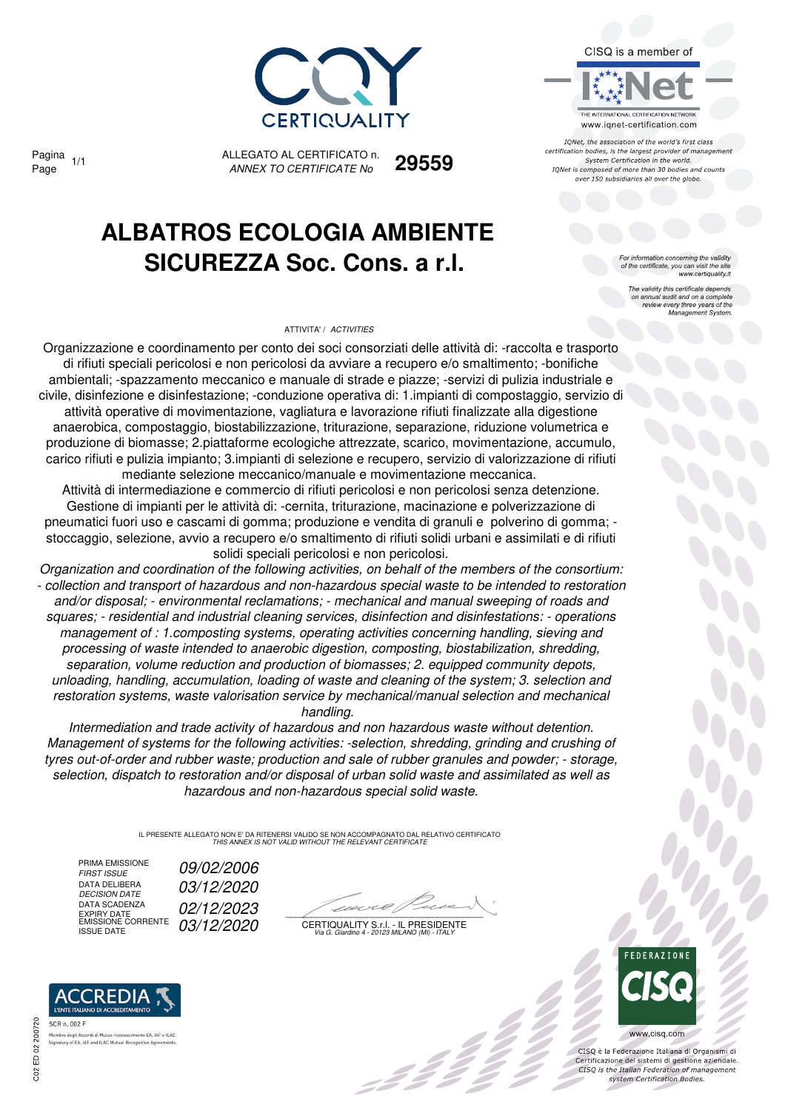

Pagina

ALLEGATO AL CERTIFICATO n. *ANNEX TO CERTIFICATE No* Page 1/1 **29559**

## **ALBATROS ECOLOGIA AMBIENTE SICUREZZA Soc. Cons. a r.l.**

#### ATTIVITA' / *ACTIVITIES*



IONet, the association of the world's first class certification bodies, is the largest provider of management System Certification in the world. IQNet is composed of more than 30 bodies and counts over 150 subsidiaries all over the globe.

For information concerning the validity<br>of the certificate, you can visit the site<br>www.certiquality.it

The validity this certificate depends on annual audit and on a complete review every three years of the Management System.

Organizzazione e coordinamento per conto dei soci consorziati delle attività di: -raccolta e trasporto di rifiuti speciali pericolosi e non pericolosi da avviare a recupero e/o smaltimento; -bonifiche ambientali; -spazzamento meccanico e manuale di strade e piazze; -servizi di pulizia industriale e civile, disinfezione e disinfestazione; -conduzione operativa di: 1.impianti di compostaggio, servizio di attività operative di movimentazione, vagliatura e lavorazione rifiuti finalizzate alla digestione anaerobica, compostaggio, biostabilizzazione, triturazione, separazione, riduzione volumetrica e produzione di biomasse; 2.piattaforme ecologiche attrezzate, scarico, movimentazione, accumulo, carico rifiuti e pulizia impianto; 3.impianti di selezione e recupero, servizio di valorizzazione di rifiuti mediante selezione meccanico/manuale e movimentazione meccanica.

Attività di intermediazione e commercio di rifiuti pericolosi e non pericolosi senza detenzione. Gestione di impianti per le attività di: -cernita, triturazione, macinazione e polverizzazione di pneumatici fuori uso e cascami di gomma; produzione e vendita di granuli e polverino di gomma; stoccaggio, selezione, avvio a recupero e/o smaltimento di rifiuti solidi urbani e assimilati e di rifiuti solidi speciali pericolosi e non pericolosi.

*Organization and coordination of the following activities, on behalf of the members of the consortium: - collection and transport of hazardous and non-hazardous special waste to be intended to restoration and/or disposal; - environmental reclamations; - mechanical and manual sweeping of roads and squares; - residential and industrial cleaning services, disinfection and disinfestations: - operations management of : 1.composting systems, operating activities concerning handling, sieving and processing of waste intended to anaerobic digestion, composting, biostabilization, shredding, separation, volume reduction and production of biomasses; 2. equipped community depots, unloading, handling, accumulation, loading of waste and cleaning of the system; 3. selection and restoration systems, waste valorisation service by mechanical/manual selection and mechanical handling.* 

*Intermediation and trade activity of hazardous and non hazardous waste without detention. Management of systems for the following activities: -selection, shredding, grinding and crushing of tyres out-of-order and rubber waste; production and sale of rubber granules and powder; - storage, selection, dispatch to restoration and/or disposal of urban solid waste and assimilated as well as hazardous and non-hazardous special solid waste.*

> IL PRESENTE ALLEGATO NON E' DA RITENERSI VALIDO SE NON ACCOMPAGNATO DAL RELATIVO CERTIFICATO *THIS ANNEX IS NOT VALID WITHOUT THE RELEVANT CERTIFICATE*

PRIMA EMISSIONE<br>FIRST ISSUE DATA DELIBERA<br>DECISION DATE DATA SCADENZA DATA SCADENZA **12/2023**<br>EXPIRY DATE<br>EMISSIONE CORRENTE 03/12/2020

REDIA:

nto EA, IAF e ILAC

*FIRST ISSUE 09/02/2006 DECISION DATE 03/12/2020*

22

CERTIQUALITY S.r.l. - IL PRESIDENTE EMISSIONE CORRENTE ISSUE DATE *03/12/2020 Via G. Giardino 4 - 20123 MILANO (MI) - ITALY*



www.cisq.com CISQ è la Federazione Italiana di Organismi di

Certificazione dei sistemi di gestione aziendale.<br>CISQ is the Italian Federation of management system Certification Bodies

ED 02 200720

 $C<sub>02</sub>$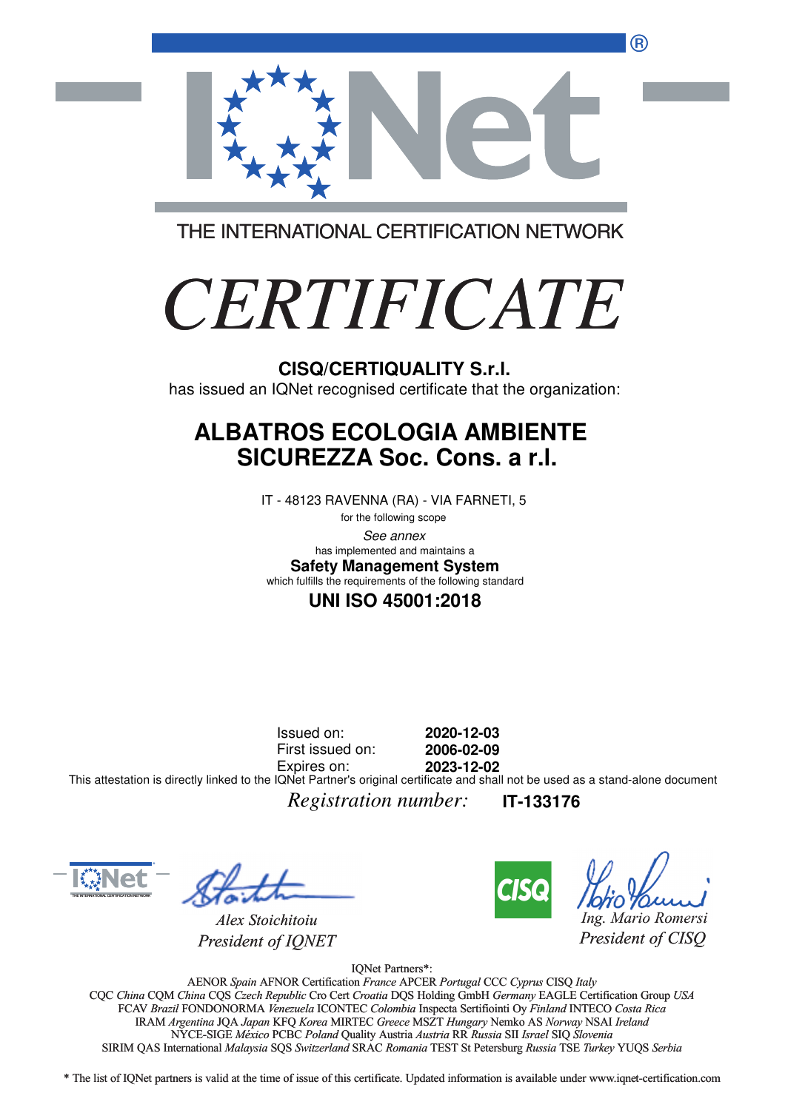®



THE INTERNATIONAL CERTIFICATION NETWORK

# *CERTIFICATE*

has issued an IQNet recognised certificate that the organization:

#### **ALBATROS ECOLOGIA AMBIENTE SICUREZZA Soc. Cons. a r.l.**

IT - 48123 RAVENNA (RA) - VIA FARNETI, 5

for the following scope See annex **Safety Management System** has implemented and maintains a which fulfills the requirements of the following standard

#### **UNI ISO 45001:2018**

Issued on: First issued on: Expires on: **2020-12-03 2006-02-09 2023-12-02** This attestation is directly linked to the IQNet Partner's original certificate and shall not be used as a stand-alone document

*Registration number:* **IT-133176**



*Alex Stoichitoiu President of IQNET*



*Ing. Mario Romersi*

*President of CISQ* 

IQNet Partners\*:

AENOR *Spain* AFNOR Certification *France* APCER *Portugal* CCC *Cyprus* CISQ *Italy* CQC *China* CQM *China* CQS *Czech Republic* Cro Cert *Croatia* DQS Holding GmbH *Germany* EAGLE Certification Group *USA* Cro Cert FCAV *Brazil* FONDONORMA *Venezuela* ICONTEC *Colombia* Inspecta Sertifiointi Oy *Finland* INTECO *Costa Rica* IRAM *Argentina* JQA *Japan* KFQ *Korea* MIRTEC *Greece* MSZT *Hungary* Nemko AS *Norway* NSAI *Ireland* NYCE-SIGE *México* PCBC *Poland* Quality Austria *Austria* RR *Russia* SII *Israel* SIQ *Slovenia* RR SIRIM QAS International *Malaysia* SQS *Switzerland* SRAC *Romania* TEST St Petersburg *Russia* TSE *Turkey* YUQS *Serbia* CISQ/CERTIQUALITY S.r.I.<br>
has issued an IQNet recognised certificate that the organizz<br> **ALBATROS ECOLOGIA AMBIENTE**<br>
SICUREZZA Soc. Cons. a r.I.<br>
IT -48123 RAVENNA (RA) - VIA FARNETI, 5<br>
learning accese<br>
this information

\* The list of IQNet partners is valid at the time of issue of this certificate. Updated information is available under www.iqnet-certification.com